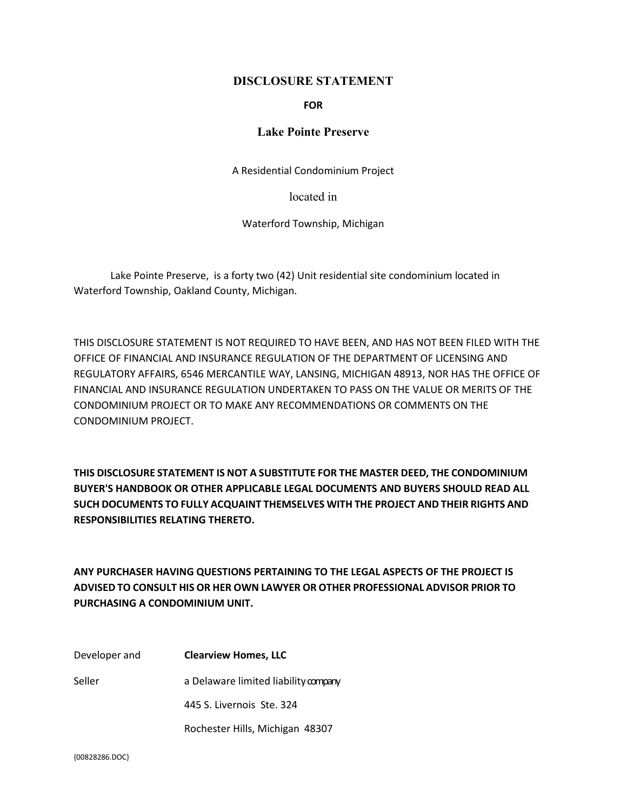### **DISCLOSURE STATEMENT**

#### **FOR**

# **Lake Pointe Preserve**

A Residential Condominium Project

located in

Waterford Township, Michigan

Lake Pointe Preserve, is a forty two (42) Unit residential site condominium located in Waterford Township, Oakland County, Michigan.

THIS DISCLOSURE STATEMENT IS NOT REQUIRED TO HAVE BEEN, AND HAS NOT BEEN FILED WITH THE OFFICE OF FINANCIAL AND INSURANCE REGULATION OF THE DEPARTMENT OF LICENSING AND REGULATORY AFFAIRS, 6546 MERCANTILE WAY, LANSING, MICHIGAN 48913, NOR HAS THE OFFICE OF FINANCIAL AND INSURANCE REGULATION UNDERTAKEN TO PASS ON THE VALUE OR MERITS OF THE CONDOMINIUM PROJECT OR TO MAKE ANY RECOMMENDATIONS OR COMMENTS ON THE CONDOMINIUM PROJECT.

**THIS DISCLOSURE STATEMENT IS NOT A SUBSTITUTE FOR THE MASTER DEED, THE CONDOMINIUM BUYER'S HANDBOOK OR OTHER APPLICABLE LEGAL DOCUMENTS AND BUYERS SHOULD READ ALL SUCH DOCUMENTS TO FULLY ACQUAINT THEMSELVES WITH THE PROJECT AND THEIR RIGHTS AND RESPONSIBILITIES RELATING THERETO.**

**ANY PURCHASER HAVING QUESTIONS PERTAINING TO THE LEGAL ASPECTS OF THE PROJECT IS ADVISED TO CONSULT HIS OR HER OWN LAWYER OR OTHER PROFESSIONAL ADVISOR PRIOR TO PURCHASING A CONDOMINIUM UNIT.**

Developer and **Clearview Homes, LLC** Seller a Delaware limited liability company 445 S. Livernois Ste. 324 Rochester Hills, Michigan 48307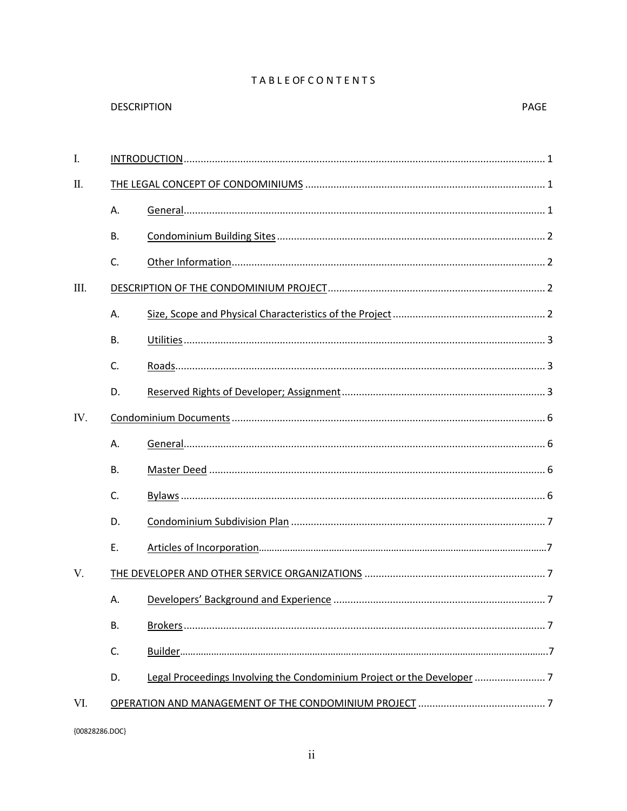# **TABLEOFCONTENTS**

PAGE

| I.   |           |                                                                        |  |  |  |
|------|-----------|------------------------------------------------------------------------|--|--|--|
| Π.   |           |                                                                        |  |  |  |
|      | А.        |                                                                        |  |  |  |
|      | <b>B.</b> |                                                                        |  |  |  |
|      | C.        |                                                                        |  |  |  |
| III. |           |                                                                        |  |  |  |
|      | А.        |                                                                        |  |  |  |
|      | <b>B.</b> |                                                                        |  |  |  |
|      | C.        |                                                                        |  |  |  |
|      | D.        |                                                                        |  |  |  |
| IV.  |           |                                                                        |  |  |  |
|      | А.        |                                                                        |  |  |  |
|      | <b>B.</b> |                                                                        |  |  |  |
|      | C.        |                                                                        |  |  |  |
|      | D.        |                                                                        |  |  |  |
|      | Ε.        |                                                                        |  |  |  |
| V.   |           |                                                                        |  |  |  |
|      | А.        |                                                                        |  |  |  |
|      | <b>B.</b> |                                                                        |  |  |  |
|      | C.        |                                                                        |  |  |  |
|      | D.        | Legal Proceedings Involving the Condominium Project or the Developer 7 |  |  |  |
| VI.  |           |                                                                        |  |  |  |

**DESCRIPTION**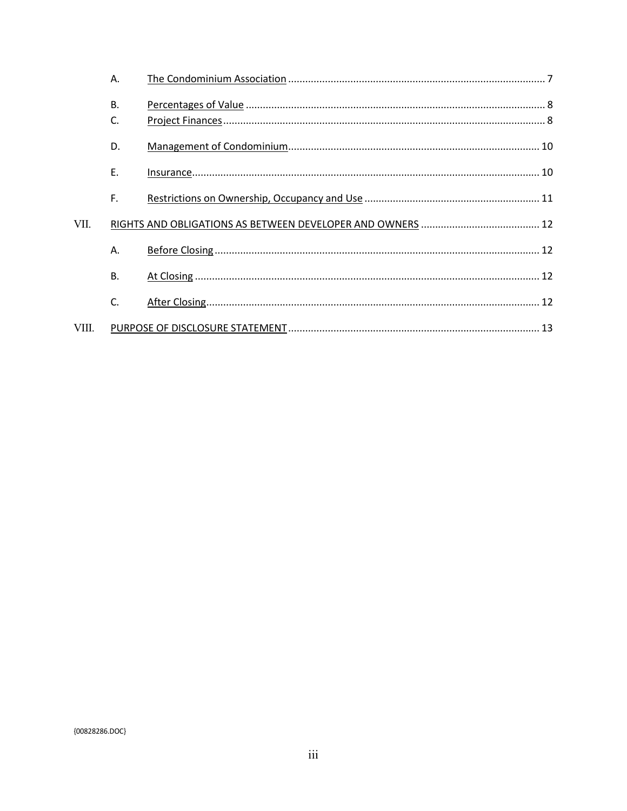|       | А.        |  |
|-------|-----------|--|
|       | B.<br>C.  |  |
|       | D.        |  |
|       | E.        |  |
|       | F.        |  |
| VII.  |           |  |
|       | Α.        |  |
|       | <b>B.</b> |  |
|       | C.        |  |
| VIII. |           |  |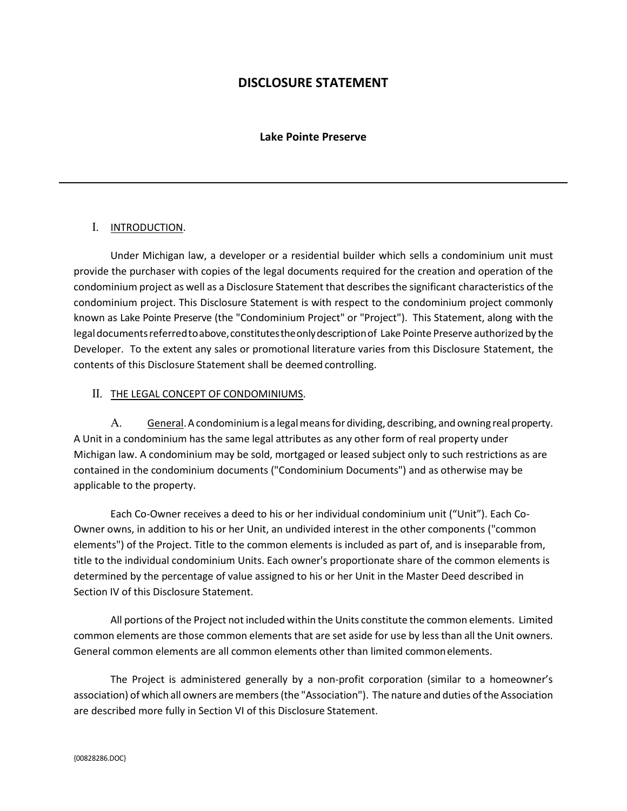# **DISCLOSURE STATEMENT**

#### **Lake Pointe Preserve**

#### I. INTRODUCTION.

Under Michigan law, a developer or a residential builder which sells a condominium unit must provide the purchaser with copies of the legal documents required for the creation and operation of the condominium project as well as a Disclosure Statement that describes the significant characteristics of the condominium project. This Disclosure Statement is with respect to the condominium project commonly known as Lake Pointe Preserve (the "Condominium Project" or "Project"). This Statement, along with the legal documents referred to above, constitutes the only description of Lake Pointe Preserve authorized by the Developer. To the extent any sales or promotional literature varies from this Disclosure Statement, the contents of this Disclosure Statement shall be deemed controlling.

#### II. THE LEGAL CONCEPT OF CONDOMINIUMS.

A. General. A condominium is a legal means for dividing, describing, and owning real property. A Unit in a condominium has the same legal attributes as any other form of real property under Michigan law. A condominium may be sold, mortgaged or leased subject only to such restrictions as are contained in the condominium documents ("Condominium Documents") and as otherwise may be applicable to the property.

Each Co-Owner receives a deed to his or her individual condominium unit ("Unit"). Each Co-Owner owns, in addition to his or her Unit, an undivided interest in the other components ("common elements") of the Project. Title to the common elements is included as part of, and is inseparable from, title to the individual condominium Units. Each owner's proportionate share of the common elements is determined by the percentage of value assigned to his or her Unit in the Master Deed described in Section IV of this Disclosure Statement.

All portions of the Project not included within the Units constitute the common elements. Limited common elements are those common elements that are set aside for use by less than all the Unit owners. General common elements are all common elements other than limited commonelements.

The Project is administered generally by a non-profit corporation (similar to a homeowner's association) of which all owners are members (the "Association"). The nature and duties of the Association are described more fully in Section VI of this Disclosure Statement.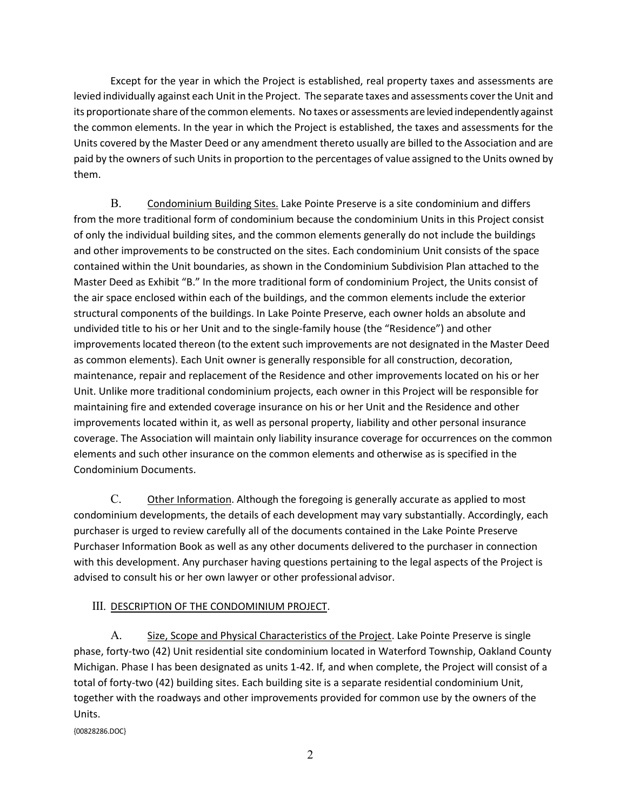Except for the year in which the Project is established, real property taxes and assessments are levied individually against each Unit in the Project. The separate taxes and assessments coverthe Unit and its proportionate share of the common elements. No taxes or assessments are levied independently against the common elements. In the year in which the Project is established, the taxes and assessments for the Units covered by the Master Deed or any amendment thereto usually are billed to the Association and are paid by the owners of such Units in proportion to the percentages of value assigned to the Units owned by them.

B. Condominium Building Sites. Lake Pointe Preserve is a site condominium and differs from the more traditional form of condominium because the condominium Units in this Project consist of only the individual building sites, and the common elements generally do not include the buildings and other improvements to be constructed on the sites. Each condominium Unit consists of the space contained within the Unit boundaries, as shown in the Condominium Subdivision Plan attached to the Master Deed as Exhibit "B." In the more traditional form of condominium Project, the Units consist of the air space enclosed within each of the buildings, and the common elements include the exterior structural components of the buildings. In Lake Pointe Preserve, each owner holds an absolute and undivided title to his or her Unit and to the single-family house (the "Residence") and other improvements located thereon (to the extent such improvements are not designated in the Master Deed as common elements). Each Unit owner is generally responsible for all construction, decoration, maintenance, repair and replacement of the Residence and other improvements located on his or her Unit. Unlike more traditional condominium projects, each owner in this Project will be responsible for maintaining fire and extended coverage insurance on his or her Unit and the Residence and other improvements located within it, as well as personal property, liability and other personal insurance coverage. The Association will maintain only liability insurance coverage for occurrences on the common elements and such other insurance on the common elements and otherwise as is specified in the Condominium Documents.

C. Other Information. Although the foregoing is generally accurate as applied to most condominium developments, the details of each development may vary substantially. Accordingly, each purchaser is urged to review carefully all of the documents contained in the Lake Pointe Preserve Purchaser Information Book as well as any other documents delivered to the purchaser in connection with this development. Any purchaser having questions pertaining to the legal aspects of the Project is advised to consult his or her own lawyer or other professional advisor.

# III. DESCRIPTION OF THE CONDOMINIUM PROJECT.

A. Size, Scope and Physical Characteristics of the Project. Lake Pointe Preserve is single phase, forty-two (42) Unit residential site condominium located in Waterford Township, Oakland County Michigan. Phase I has been designated as units 1-42. If, and when complete, the Project will consist of a total of forty-two (42) building sites. Each building site is a separate residential condominium Unit, together with the roadways and other improvements provided for common use by the owners of the Units.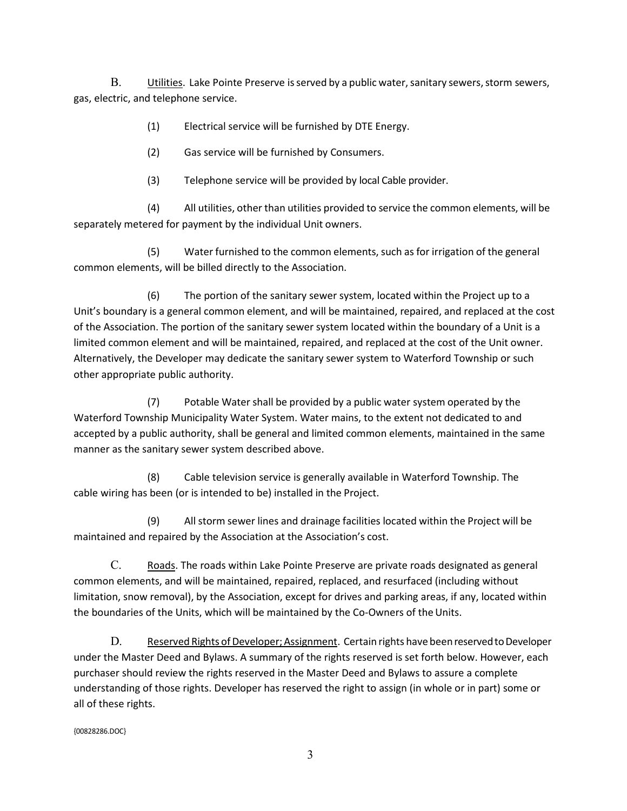B. Utilities. Lake Pointe Preserve is served by a public water, sanitary sewers, storm sewers, gas, electric, and telephone service.

(1) Electrical service will be furnished by DTE Energy.

(2) Gas service will be furnished by Consumers.

(3) Telephone service will be provided by local Cable provider.

(4) All utilities, other than utilities provided to service the common elements, will be separately metered for payment by the individual Unit owners.

(5) Water furnished to the common elements, such as for irrigation of the general common elements, will be billed directly to the Association.

(6) The portion of the sanitary sewer system, located within the Project up to a Unit's boundary is a general common element, and will be maintained, repaired, and replaced at the cost of the Association. The portion of the sanitary sewer system located within the boundary of a Unit is a limited common element and will be maintained, repaired, and replaced at the cost of the Unit owner. Alternatively, the Developer may dedicate the sanitary sewer system to Waterford Township or such other appropriate public authority.

(7) Potable Watershall be provided by a public water system operated by the Waterford Township Municipality Water System. Water mains, to the extent not dedicated to and accepted by a public authority, shall be general and limited common elements, maintained in the same manner as the sanitary sewer system described above.

(8) Cable television service is generally available in Waterford Township. The cable wiring has been (or is intended to be) installed in the Project.

(9) All storm sewer lines and drainage facilities located within the Project will be maintained and repaired by the Association at the Association's cost.

C. Roads. The roads within Lake Pointe Preserve are private roads designated as general common elements, and will be maintained, repaired, replaced, and resurfaced (including without limitation, snow removal), by the Association, except for drives and parking areas, if any, located within the boundaries of the Units, which will be maintained by the Co-Owners of the Units.

D. Reserved Rights of Developer; Assignment. Certain rights have been reserved to Developer under the Master Deed and Bylaws. A summary of the rights reserved is set forth below. However, each purchaser should review the rights reserved in the Master Deed and Bylaws to assure a complete understanding of those rights. Developer has reserved the right to assign (in whole or in part) some or all of these rights.

{00828286.DOC}

3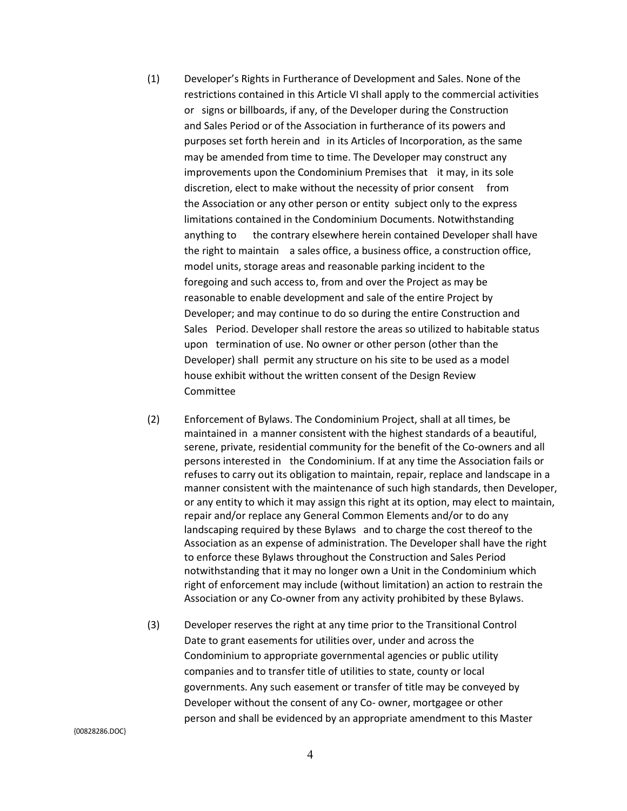- (1) Developer's Rights in Furtherance of Development and Sales. None of the restrictions contained in this Article VI shall apply to the commercial activities or signs or billboards, if any, of the Developer during the Construction and Sales Period or of the Association in furtherance of its powers and purposes set forth herein and in its Articles of Incorporation, as the same may be amended from time to time. The Developer may construct any improvements upon the Condominium Premises that it may, in its sole discretion, elect to make without the necessity of prior consent from the Association or any other person or entity subject only to the express limitations contained in the Condominium Documents. Notwithstanding anything to the contrary elsewhere herein contained Developer shall have the right to maintain a sales office, a business office, a construction office, model units, storage areas and reasonable parking incident to the foregoing and such access to, from and over the Project as may be reasonable to enable development and sale of the entire Project by Developer; and may continue to do so during the entire Construction and Sales Period. Developer shall restore the areas so utilized to habitable status upon termination of use. No owner or other person (other than the Developer) shall permit any structure on his site to be used as a model house exhibit without the written consent of the Design Review Committee
- (2) Enforcement of Bylaws. The Condominium Project, shall at all times, be maintained in a manner consistent with the highest standards of a beautiful, serene, private, residential community for the benefit of the Co-owners and all persons interested in the Condominium. If at any time the Association fails or refuses to carry out its obligation to maintain, repair, replace and landscape in a manner consistent with the maintenance of such high standards, then Developer, or any entity to which it may assign this right at its option, may elect to maintain, repair and/or replace any General Common Elements and/or to do any landscaping required by these Bylaws and to charge the cost thereof to the Association as an expense of administration. The Developer shall have the right to enforce these Bylaws throughout the Construction and Sales Period notwithstanding that it may no longer own a Unit in the Condominium which right of enforcement may include (without limitation) an action to restrain the Association or any Co-owner from any activity prohibited by these Bylaws.
- (3) Developer reserves the right at any time prior to the Transitional Control Date to grant easements for utilities over, under and across the Condominium to appropriate governmental agencies or public utility companies and to transfer title of utilities to state, county or local governments. Any such easement or transfer of title may be conveyed by Developer without the consent of any Co- owner, mortgagee or other person and shall be evidenced by an appropriate amendment to this Master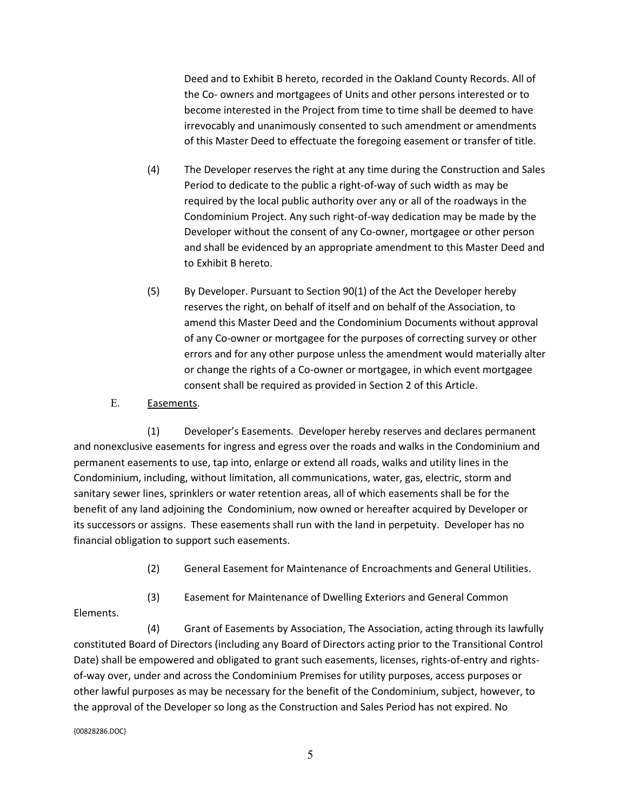Deed and to Exhibit B hereto, recorded in the Oakland County Records. All of the Co- owners and mortgagees of Units and other persons interested or to become interested in the Project from time to time shall be deemed to have irrevocably and unanimously consented to such amendment or amendments of this Master Deed to effectuate the foregoing easement or transfer of title.

- (4) The Developer reserves the right at any time during the Construction and Sales Period to dedicate to the public a right-of-way of such width as may be required by the local public authority over any or all of the roadways in the Condominium Project. Any such right-of-way dedication may be made by the Developer without the consent of any Co-owner, mortgagee or other person and shall be evidenced by an appropriate amendment to this Master Deed and to Exhibit B hereto.
- (5) By Developer. Pursuant to Section 90(1) of the Act the Developer hereby reserves the right, on behalf of itself and on behalf of the Association, to amend this Master Deed and the Condominium Documents without approval of any Co-owner or mortgagee for the purposes of correcting survey or other errors and for any other purpose unless the amendment would materially alter or change the rights of a Co-owner or mortgagee, in which event mortgagee consent shall be required as provided in Section 2 of this Article.
- E. Easements.

(1) Developer's Easements. Developer hereby reserves and declares permanent and nonexclusive easements for ingress and egress over the roads and walks in the Condominium and permanent easements to use, tap into, enlarge or extend all roads, walks and utility lines in the Condominium, including, without limitation, all communications, water, gas, electric, storm and sanitary sewer lines, sprinklers or water retention areas, all of which easements shall be for the benefit of any land adjoining the Condominium, now owned or hereafter acquired by Developer or its successors or assigns. These easements shall run with the land in perpetuity. Developer has no financial obligation to support such easements.

- (2) General Easement for Maintenance of Encroachments and General Utilities.
- (3) Easement for Maintenance of Dwelling Exteriors and General Common

Elements.

(4) Grant of Easements by Association, The Association, acting through its lawfully constituted Board of Directors (including any Board of Directors acting prior to the Transitional Control Date) shall be empowered and obligated to grant such easements, licenses, rights-of-entry and rightsof-way over, under and across the Condominium Premises for utility purposes, access purposes or other lawful purposes as may be necessary for the benefit of the Condominium, subject, however, to the approval of the Developer so long as the Construction and Sales Period has not expired. No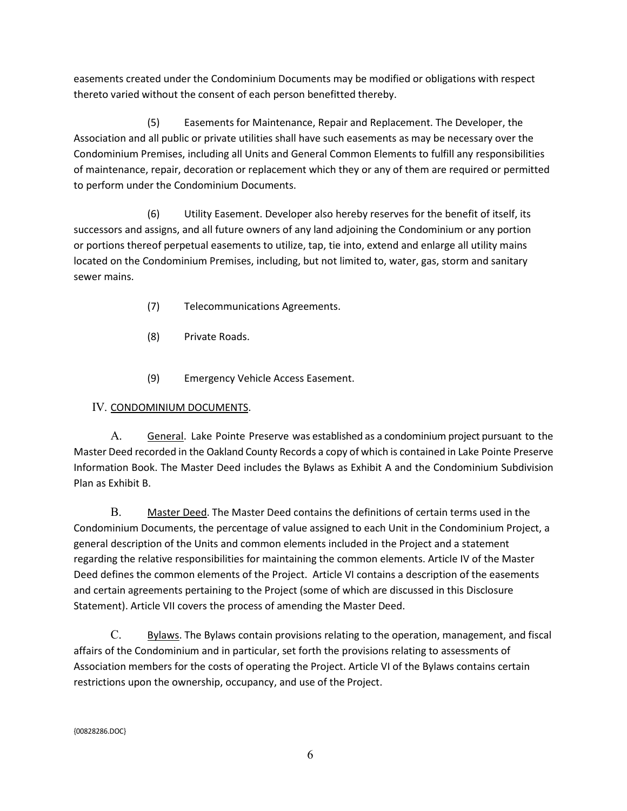easements created under the Condominium Documents may be modified or obligations with respect thereto varied without the consent of each person benefitted thereby.

(5) Easements for Maintenance, Repair and Replacement. The Developer, the Association and all public or private utilities shall have such easements as may be necessary over the Condominium Premises, including all Units and General Common Elements to fulfill any responsibilities of maintenance, repair, decoration or replacement which they or any of them are required or permitted to perform under the Condominium Documents.

(6) Utility Easement. Developer also hereby reserves for the benefit of itself, its successors and assigns, and all future owners of any land adjoining the Condominium or any portion or portions thereof perpetual easements to utilize, tap, tie into, extend and enlarge all utility mains located on the Condominium Premises, including, but not limited to, water, gas, storm and sanitary sewer mains.

- (7) Telecommunications Agreements.
- (8) Private Roads.
- (9) Emergency Vehicle Access Easement.

# IV. CONDOMINIUM DOCUMENTS.

A. General. Lake Pointe Preserve was established as a condominium project pursuant to the Master Deed recorded in the Oakland County Records a copy of which is contained in Lake Pointe Preserve Information Book. The Master Deed includes the Bylaws as Exhibit A and the Condominium Subdivision Plan as Exhibit B.

B. Master Deed. The Master Deed contains the definitions of certain terms used in the Condominium Documents, the percentage of value assigned to each Unit in the Condominium Project, a general description of the Units and common elements included in the Project and a statement regarding the relative responsibilities for maintaining the common elements. Article IV of the Master Deed defines the common elements of the Project. Article VI contains a description of the easements and certain agreements pertaining to the Project (some of which are discussed in this Disclosure Statement). Article VII covers the process of amending the Master Deed.

C. Bylaws. The Bylaws contain provisions relating to the operation, management, and fiscal affairs of the Condominium and in particular, set forth the provisions relating to assessments of Association members for the costs of operating the Project. Article VI of the Bylaws contains certain restrictions upon the ownership, occupancy, and use of the Project.

6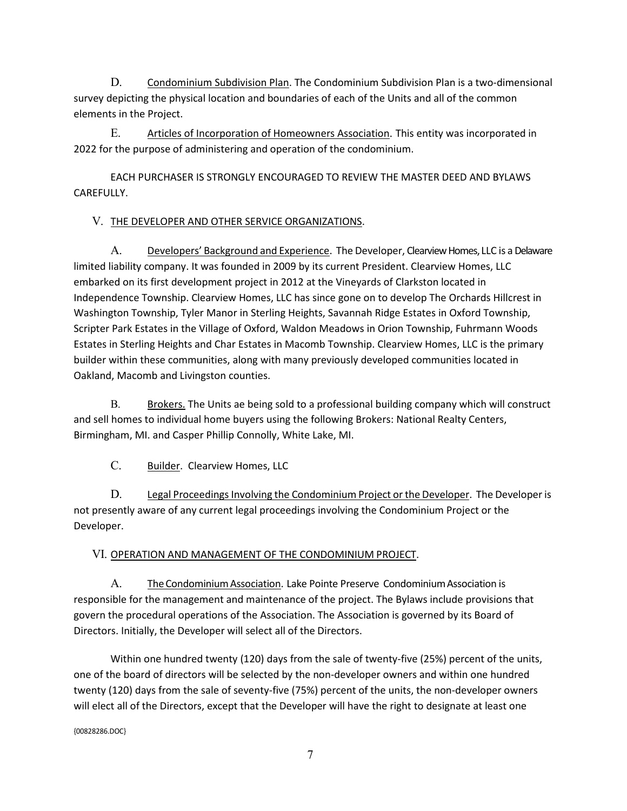D. Condominium Subdivision Plan. The Condominium Subdivision Plan is a two-dimensional survey depicting the physical location and boundaries of each of the Units and all of the common elements in the Project.

E. Articles of Incorporation of Homeowners Association. This entity was incorporated in 2022 for the purpose of administering and operation of the condominium.

EACH PURCHASER IS STRONGLY ENCOURAGED TO REVIEW THE MASTER DEED AND BYLAWS CAREFULLY.

# V. THE DEVELOPER AND OTHER SERVICE ORGANIZATIONS.

A. Developers' Background and Experience. The Developer, Clearview Homes, LLC is a Delaware limited liability company. It was founded in 2009 by its current President. Clearview Homes, LLC embarked on its first development project in 2012 at the Vineyards of Clarkston located in Independence Township. Clearview Homes, LLC has since gone on to develop The Orchards Hillcrest in Washington Township, Tyler Manor in Sterling Heights, Savannah Ridge Estates in Oxford Township, Scripter Park Estates in the Village of Oxford, Waldon Meadows in Orion Township, Fuhrmann Woods Estates in Sterling Heights and Char Estates in Macomb Township. Clearview Homes, LLC is the primary builder within these communities, along with many previously developed communities located in Oakland, Macomb and Livingston counties.

B. Brokers. The Units ae being sold to a professional building company which will construct and sell homes to individual home buyers using the following Brokers: National Realty Centers, Birmingham, MI. and Casper Phillip Connolly, White Lake, MI.

C. Builder. Clearview Homes, LLC

D. Legal Proceedings Involving the Condominium Project orthe Developer. The Developeris not presently aware of any current legal proceedings involving the Condominium Project or the Developer.

# VI. OPERATION AND MANAGEMENT OF THE CONDOMINIUM PROJECT.

A. The Condominium Association. Lake Pointe Preserve Condominium Association is responsible for the management and maintenance of the project. The Bylaws include provisions that govern the procedural operations of the Association. The Association is governed by its Board of Directors. Initially, the Developer will select all of the Directors.

Within one hundred twenty (120) days from the sale of twenty-five (25%) percent of the units, one of the board of directors will be selected by the non-developer owners and within one hundred twenty (120) days from the sale of seventy-five (75%) percent of the units, the non-developer owners will elect all of the Directors, except that the Developer will have the right to designate at least one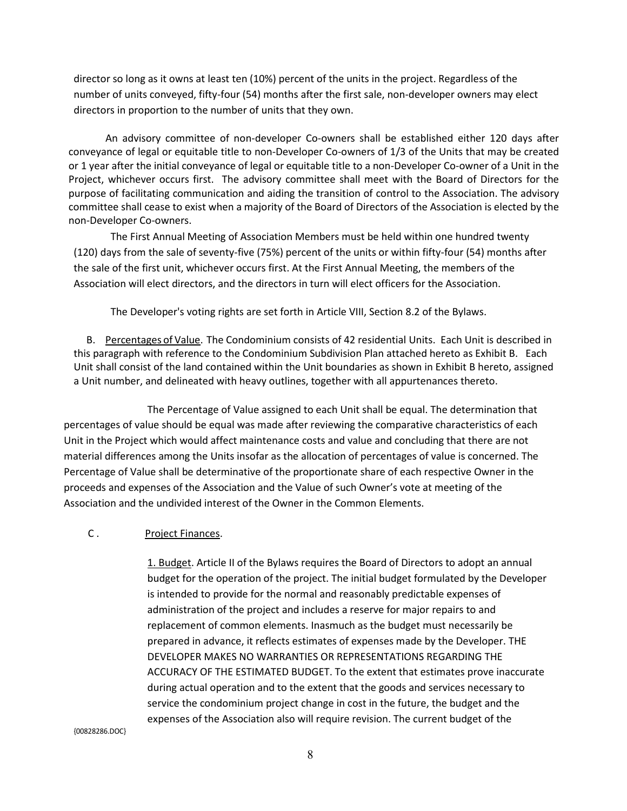director so long as it owns at least ten (10%) percent of the units in the project. Regardless of the number of units conveyed, fifty-four (54) months after the first sale, non-developer owners may elect directors in proportion to the number of units that they own.

An advisory committee of non-developer Co-owners shall be established either 120 days after conveyance of legal or equitable title to non-Developer Co-owners of 1/3 of the Units that may be created or 1 year after the initial conveyance of legal or equitable title to a non-Developer Co-owner of a Unit in the Project, whichever occurs first. The advisory committee shall meet with the Board of Directors for the purpose of facilitating communication and aiding the transition of control to the Association. The advisory committee shall cease to exist when a majority of the Board of Directors of the Association is elected by the non-Developer Co-owners.

The First Annual Meeting of Association Members must be held within one hundred twenty (120) days from the sale of seventy-five (75%) percent of the units or within fifty-four (54) months after the sale of the first unit, whichever occurs first. At the First Annual Meeting, the members of the Association will elect directors, and the directors in turn will elect officers for the Association.

The Developer's voting rights are set forth in Article VIII, Section 8.2 of the Bylaws.

 B. Percentages of Value. The Condominium consists of 42 residential Units. Each Unit is described in this paragraph with reference to the Condominium Subdivision Plan attached hereto as Exhibit B. Each Unit shall consist of the land contained within the Unit boundaries as shown in Exhibit B hereto, assigned a Unit number, and delineated with heavy outlines, together with all appurtenances thereto.

The Percentage of Value assigned to each Unit shall be equal. The determination that percentages of value should be equal was made after reviewing the comparative characteristics of each Unit in the Project which would affect maintenance costs and value and concluding that there are not material differences among the Units insofar as the allocation of percentages of value is concerned. The Percentage of Value shall be determinative of the proportionate share of each respective Owner in the proceeds and expenses of the Association and the Value of such Owner's vote at meeting of the Association and the undivided interest of the Owner in the Common Elements.

# C . Project Finances.

1. Budget. Article II of the Bylaws requires the Board of Directors to adopt an annual budget for the operation of the project. The initial budget formulated by the Developer is intended to provide for the normal and reasonably predictable expenses of administration of the project and includes a reserve for major repairs to and replacement of common elements. Inasmuch as the budget must necessarily be prepared in advance, it reflects estimates of expenses made by the Developer. THE DEVELOPER MAKES NO WARRANTIES OR REPRESENTATIONS REGARDING THE ACCURACY OF THE ESTIMATED BUDGET. To the extent that estimates prove inaccurate during actual operation and to the extent that the goods and services necessary to service the condominium project change in cost in the future, the budget and the expenses of the Association also will require revision. The current budget of the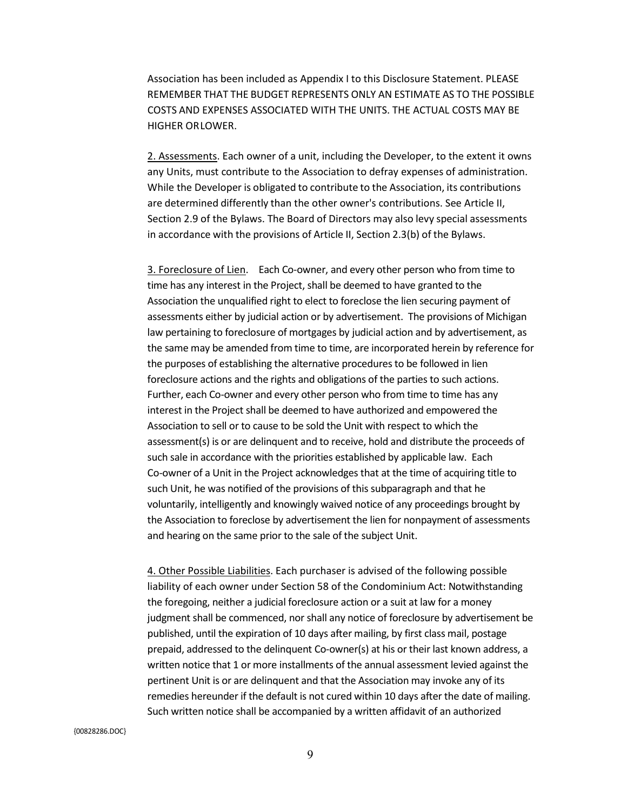Association has been included as Appendix I to this Disclosure Statement. PLEASE REMEMBER THAT THE BUDGET REPRESENTS ONLY AN ESTIMATE AS TO THE POSSIBLE COSTS AND EXPENSES ASSOCIATED WITH THE UNITS. THE ACTUAL COSTS MAY BE HIGHER ORLOWER.

2. Assessments. Each owner of a unit, including the Developer, to the extent it owns any Units, must contribute to the Association to defray expenses of administration. While the Developer is obligated to contribute to the Association, its contributions are determined differently than the other owner's contributions. See Article II, Section 2.9 of the Bylaws. The Board of Directors may also levy special assessments in accordance with the provisions of Article II, Section 2.3(b) of the Bylaws.

3. Foreclosure of Lien. Each Co-owner, and every other person who from time to time has any interest in the Project, shall be deemed to have granted to the Association the unqualified right to elect to foreclose the lien securing payment of assessments either by judicial action or by advertisement. The provisions of Michigan law pertaining to foreclosure of mortgages by judicial action and by advertisement, as the same may be amended from time to time, are incorporated herein by reference for the purposes of establishing the alternative procedures to be followed in lien foreclosure actions and the rights and obligations of the parties to such actions. Further, each Co-owner and every other person who from time to time has any interest in the Project shall be deemed to have authorized and empowered the Association to sell or to cause to be sold the Unit with respect to which the assessment(s) is or are delinquent and to receive, hold and distribute the proceeds of such sale in accordance with the priorities established by applicable law. Each Co-owner of a Unit in the Project acknowledges that at the time of acquiring title to such Unit, he was notified of the provisions of this subparagraph and that he voluntarily, intelligently and knowingly waived notice of any proceedings brought by the Association to foreclose by advertisement the lien for nonpayment of assessments and hearing on the same prior to the sale of the subject Unit.

4. Other Possible Liabilities. Each purchaser is advised of the following possible liability of each owner under Section 58 of the Condominium Act: Notwithstanding the foregoing, neither a judicial foreclosure action or a suit at law for a money judgment shall be commenced, nor shall any notice of foreclosure by advertisement be published, until the expiration of 10 days after mailing, by first class mail, postage prepaid, addressed to the delinquent Co-owner(s) at his or their last known address, a written notice that 1 or more installments of the annual assessment levied against the pertinent Unit is or are delinquent and that the Association may invoke any of its remedies hereunder if the default is not cured within 10 days after the date of mailing. Such written notice shall be accompanied by a written affidavit of an authorized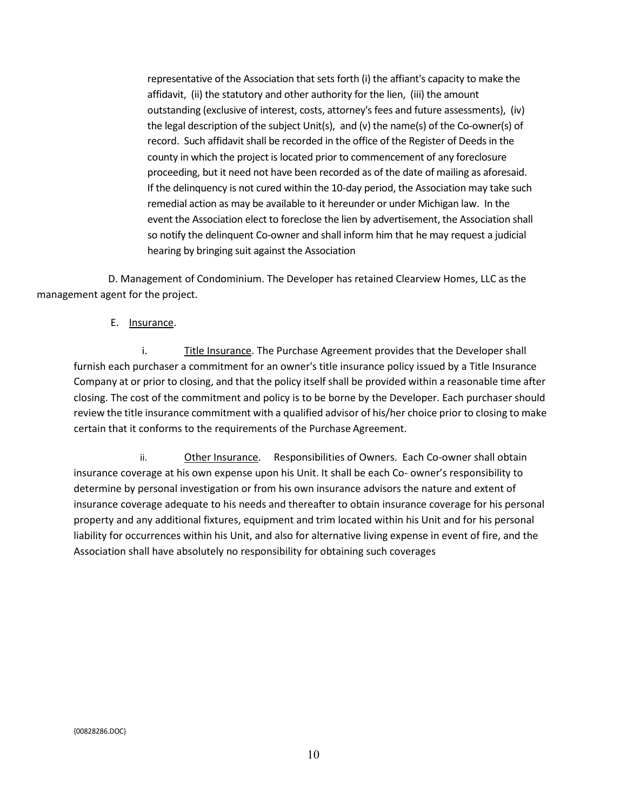representative of the Association that sets forth (i) the affiant's capacity to make the affidavit, (ii) the statutory and other authority for the lien, (iii) the amount outstanding (exclusive of interest, costs, attorney's fees and future assessments), (iv) the legal description of the subject Unit(s), and (v) the name(s) of the Co-owner(s) of record. Such affidavit shall be recorded in the office of the Register of Deeds in the county in which the project is located prior to commencement of any foreclosure proceeding, but it need not have been recorded as of the date of mailing as aforesaid. If the delinquency is not cured within the 10-day period, the Association may take such remedial action as may be available to it hereunder or under Michigan law. In the event the Association elect to foreclose the lien by advertisement, the Association shall so notify the delinquent Co-owner and shall inform him that he may request a judicial hearing by bringing suit against the Association

 D. Management of Condominium. The Developer has retained Clearview Homes, LLC as the management agent for the project.

#### E. Insurance.

i. Title Insurance. The Purchase Agreement provides that the Developer shall furnish each purchaser a commitment for an owner's title insurance policy issued by a Title Insurance Company at or prior to closing, and that the policy itself shall be provided within a reasonable time after closing. The cost of the commitment and policy is to be borne by the Developer. Each purchaser should review the title insurance commitment with a qualified advisor of his/her choice prior to closing to make certain that it conforms to the requirements of the Purchase Agreement.

ii. Other Insurance. Responsibilities of Owners. Each Co-owner shall obtain insurance coverage at his own expense upon his Unit. It shall be each Co- owner's responsibility to determine by personal investigation or from his own insurance advisors the nature and extent of insurance coverage adequate to his needs and thereafter to obtain insurance coverage for his personal property and any additional fixtures, equipment and trim located within his Unit and for his personal liability for occurrences within his Unit, and also for alternative living expense in event of fire, and the Association shall have absolutely no responsibility for obtaining such coverages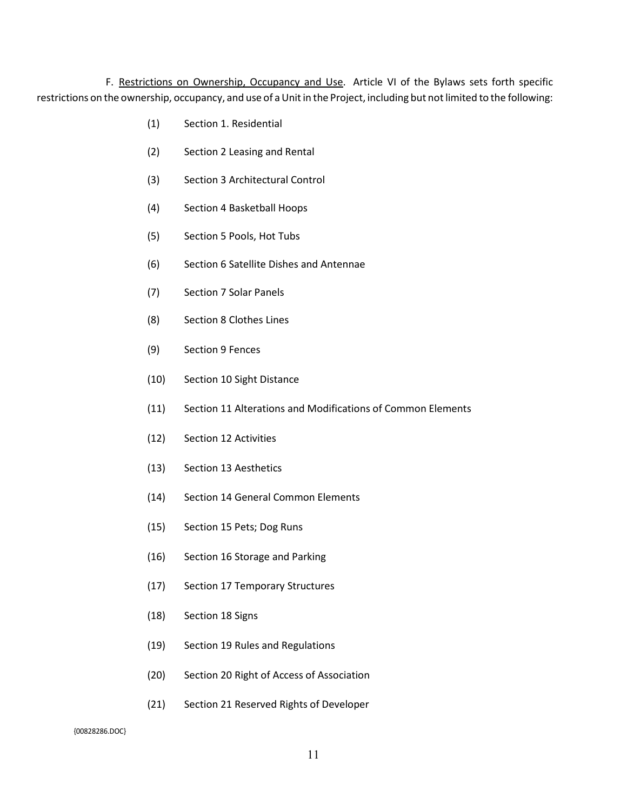F. Restrictions on Ownership, Occupancy and Use. Article VI of the Bylaws sets forth specific restrictions on the ownership, occupancy, and use of a Unit in the Project, including but not limited to the following:

- (1) Section 1. Residential
- (2) Section 2 Leasing and Rental
- (3) Section 3 Architectural Control
- (4) Section 4 Basketball Hoops
- (5) Section 5 Pools, Hot Tubs
- (6) Section 6 Satellite Dishes and Antennae
- (7) Section 7 Solar Panels
- (8) Section 8 Clothes Lines
- (9) Section 9 Fences
- (10) Section 10 Sight Distance
- (11) Section 11 Alterations and Modifications of Common Elements
- (12) Section 12 Activities
- (13) Section 13 Aesthetics
- (14) Section 14 General Common Elements
- (15) Section 15 Pets; Dog Runs
- (16) Section 16 Storage and Parking
- (17) Section 17 Temporary Structures
- (18) Section 18 Signs
- (19) Section 19 Rules and Regulations
- (20) Section 20 Right of Access of Association
- (21) Section 21 Reserved Rights of Developer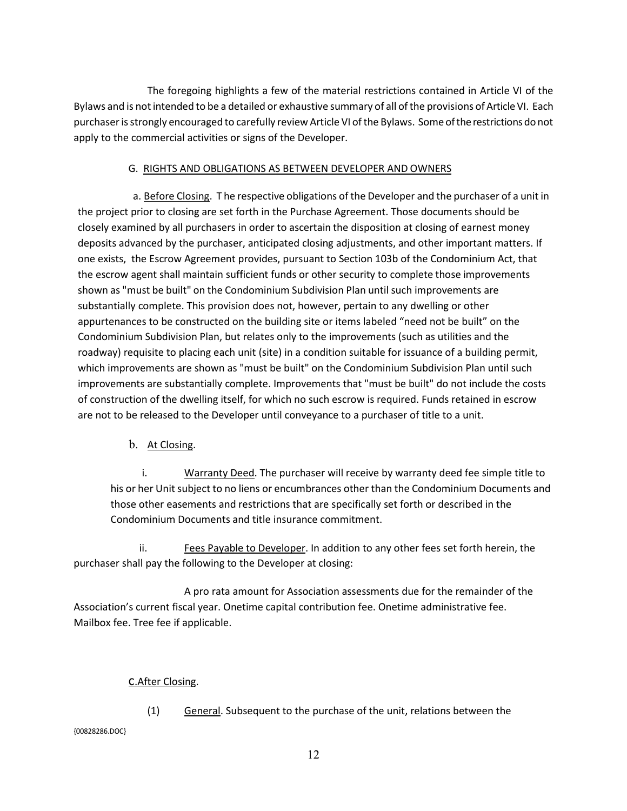The foregoing highlights a few of the material restrictions contained in Article VI of the Bylaws and is not intended to be a detailed or exhaustive summary of all of the provisions of Article VI. Each purchaserisstrongly encouraged to carefully review Article VI ofthe Bylaws. Some oftherestrictions do not apply to the commercial activities or signs of the Developer.

## G. RIGHTS AND OBLIGATIONS AS BETWEEN DEVELOPER AND OWNERS

a. Before Closing. T he respective obligations of the Developer and the purchaser of a unit in the project prior to closing are set forth in the Purchase Agreement. Those documents should be closely examined by all purchasers in order to ascertain the disposition at closing of earnest money deposits advanced by the purchaser, anticipated closing adjustments, and other important matters. If one exists, the Escrow Agreement provides, pursuant to Section 103b of the Condominium Act, that the escrow agent shall maintain sufficient funds or other security to complete those improvements shown as "must be built" on the Condominium Subdivision Plan until such improvements are substantially complete. This provision does not, however, pertain to any dwelling or other appurtenances to be constructed on the building site or items labeled "need not be built" on the Condominium Subdivision Plan, but relates only to the improvements (such as utilities and the roadway) requisite to placing each unit (site) in a condition suitable for issuance of a building permit, which improvements are shown as "must be built" on the Condominium Subdivision Plan until such improvements are substantially complete. Improvements that "must be built" do not include the costs of construction of the dwelling itself, for which no such escrow is required. Funds retained in escrow are not to be released to the Developer until conveyance to a purchaser of title to a unit.

b. At Closing.

i. Warranty Deed. The purchaser will receive by warranty deed fee simple title to his or her Unit subject to no liens or encumbrances other than the Condominium Documents and those other easements and restrictions that are specifically set forth or described in the Condominium Documents and title insurance commitment.

ii. Fees Payable to Developer. In addition to any other fees set forth herein, the purchaser shall pay the following to the Developer at closing:

A pro rata amount for Association assessments due for the remainder of the Association's current fiscal year. Onetime capital contribution fee. Onetime administrative fee. Mailbox fee. Tree fee if applicable.

# c.After Closing.

{00828286.DOC}

(1) General. Subsequent to the purchase of the unit, relations between the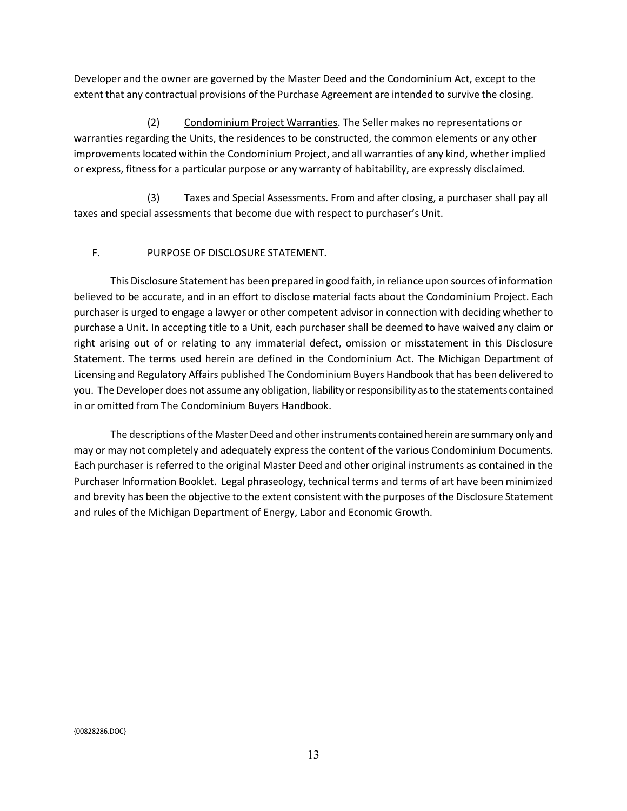Developer and the owner are governed by the Master Deed and the Condominium Act, except to the extent that any contractual provisions of the Purchase Agreement are intended to survive the closing.

(2) Condominium Project Warranties. The Seller makes no representations or warranties regarding the Units, the residences to be constructed, the common elements or any other improvements located within the Condominium Project, and all warranties of any kind, whether implied or express, fitness for a particular purpose or any warranty of habitability, are expressly disclaimed.

(3) Taxes and Special Assessments. From and after closing, a purchaser shall pay all taxes and special assessments that become due with respect to purchaser's Unit.

# F. PURPOSE OF DISCLOSURE STATEMENT.

This Disclosure Statement has been prepared in good faith, in reliance upon sources of information believed to be accurate, and in an effort to disclose material facts about the Condominium Project. Each purchaser is urged to engage a lawyer or other competent advisor in connection with deciding whether to purchase a Unit. In accepting title to a Unit, each purchaser shall be deemed to have waived any claim or right arising out of or relating to any immaterial defect, omission or misstatement in this Disclosure Statement. The terms used herein are defined in the Condominium Act. The Michigan Department of Licensing and Regulatory Affairs published The Condominium Buyers Handbook that has been delivered to you. The Developer does not assume any obligation, liability or responsibility as to the statements contained in or omitted from The Condominium Buyers Handbook.

The descriptions of the Master Deed and other instruments contained herein are summary only and may or may not completely and adequately express the content of the various Condominium Documents. Each purchaser is referred to the original Master Deed and other original instruments as contained in the Purchaser Information Booklet. Legal phraseology, technical terms and terms of art have been minimized and brevity has been the objective to the extent consistent with the purposes of the Disclosure Statement and rules of the Michigan Department of Energy, Labor and Economic Growth.